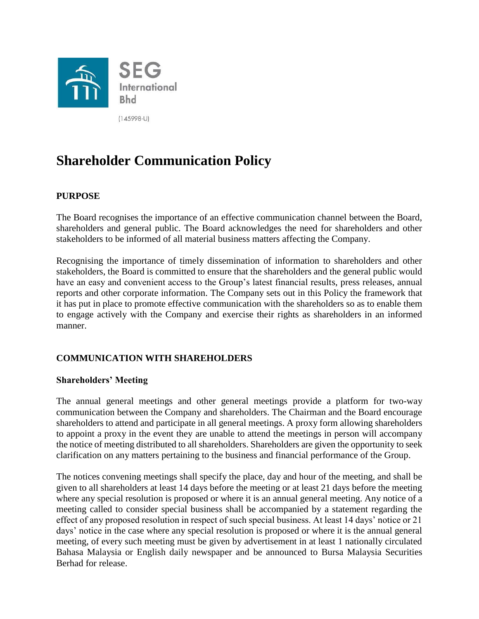

 $(145998-U)$ 

# **Shareholder Communication Policy**

# **PURPOSE**

The Board recognises the importance of an effective communication channel between the Board, shareholders and general public. The Board acknowledges the need for shareholders and other stakeholders to be informed of all material business matters affecting the Company.

Recognising the importance of timely dissemination of information to shareholders and other stakeholders, the Board is committed to ensure that the shareholders and the general public would have an easy and convenient access to the Group's latest financial results, press releases, annual reports and other corporate information. The Company sets out in this Policy the framework that it has put in place to promote effective communication with the shareholders so as to enable them to engage actively with the Company and exercise their rights as shareholders in an informed manner.

# **COMMUNICATION WITH SHAREHOLDERS**

#### **Shareholders' Meeting**

The annual general meetings and other general meetings provide a platform for two-way communication between the Company and shareholders. The Chairman and the Board encourage shareholders to attend and participate in all general meetings. A proxy form allowing shareholders to appoint a proxy in the event they are unable to attend the meetings in person will accompany the notice of meeting distributed to all shareholders. Shareholders are given the opportunity to seek clarification on any matters pertaining to the business and financial performance of the Group.

The notices convening meetings shall specify the place, day and hour of the meeting, and shall be given to all shareholders at least 14 days before the meeting or at least 21 days before the meeting where any special resolution is proposed or where it is an annual general meeting. Any notice of a meeting called to consider special business shall be accompanied by a statement regarding the effect of any proposed resolution in respect of such special business. At least 14 days' notice or 21 days' notice in the case where any special resolution is proposed or where it is the annual general meeting, of every such meeting must be given by advertisement in at least 1 nationally circulated Bahasa Malaysia or English daily newspaper and be announced to Bursa Malaysia Securities Berhad for release.